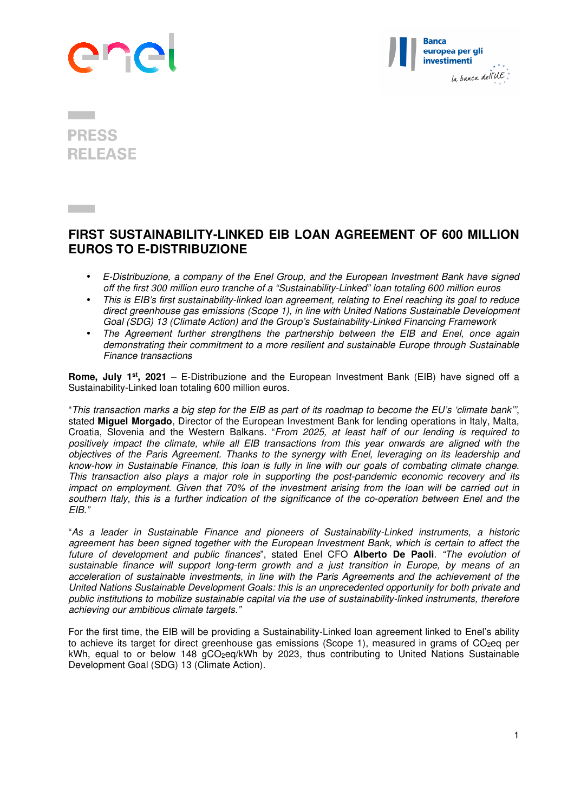



## **PRESS RELEASE**

## **FIRST SUSTAINABILITY-LINKED EIB LOAN AGREEMENT OF 600 MILLION EUROS TO E-DISTRIBUZIONE**

- *E-Distribuzione, a company of the Enel Group, and the European Investment Bank have signed off the first 300 million euro tranche of a "Sustainability-Linked" loan totaling 600 million euros*
- *This is EIB's first sustainability-linked loan agreement, relating to Enel reaching its goal to reduce direct greenhouse gas emissions (Scope 1), in line with United Nations Sustainable Development Goal (SDG) 13 (Climate Action) and the Group's Sustainability-Linked Financing Framework*
- *The Agreement further strengthens the partnership between the EIB and Enel, once again demonstrating their commitment to a more resilient and sustainable Europe through Sustainable Finance transactions*

**Rome, July 1st, 2021** – E-Distribuzione and the European Investment Bank (EIB) have signed off a Sustainability-Linked loan totaling 600 million euros.

"*This transaction marks a big step for the EIB as part of its roadmap to become the EU's 'climate bank'"*, stated **Miguel Morgado**, Director of the European Investment Bank for lending operations in Italy, Malta, Croatia, Slovenia and the Western Balkans. "*From 2025, at least half of our lending is required to positively impact the climate, while all EIB transactions from this year onwards are aligned with the objectives of the Paris Agreement. Thanks to the synergy with Enel, leveraging on its leadership and know-how in Sustainable Finance, this loan is fully in line with our goals of combating climate change. This transaction also plays a major role in supporting the post-pandemic economic recovery and its impact on employment. Given that 70% of the investment arising from the loan will be carried out in southern Italy, this is a further indication of the significance of the co-operation between Enel and the EIB."* 

"*As a leader in Sustainable Finance and pioneers of Sustainability-Linked instruments, a historic agreement has been signed together with the European Investment Bank, which is certain to affect the future of development and public finances*", stated Enel CFO **Alberto De Paoli***. "The evolution of sustainable finance will support long-term growth and a just transition in Europe, by means of an acceleration of sustainable investments, in line with the Paris Agreements and the achievement of the United Nations Sustainable Development Goals: this is an unprecedented opportunity for both private and public institutions to mobilize sustainable capital via the use of sustainability-linked instruments, therefore achieving our ambitious climate targets."* 

For the first time, the EIB will be providing a Sustainability-Linked loan agreement linked to Enel's ability to achieve its target for direct greenhouse gas emissions (Scope 1), measured in grams of CO<sub>2</sub>eq per kWh, equal to or below 148 gCO<sub>2</sub>eq/kWh by 2023, thus contributing to United Nations Sustainable Development Goal (SDG) 13 (Climate Action).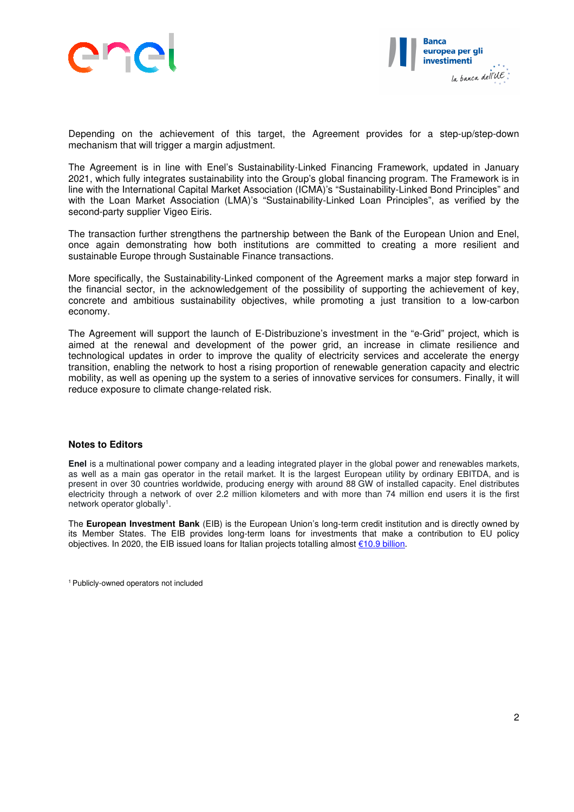



Depending on the achievement of this target, the Agreement provides for a step-up/step-down mechanism that will trigger a margin adjustment.

The Agreement is in line with Enel's Sustainability-Linked Financing Framework, updated in January 2021, which fully integrates sustainability into the Group's global financing program. The Framework is in line with the International Capital Market Association (ICMA)'s "Sustainability-Linked Bond Principles" and with the Loan Market Association (LMA)'s "Sustainability-Linked Loan Principles", as verified by the second-party supplier Vigeo Eiris.

The transaction further strengthens the partnership between the Bank of the European Union and Enel, once again demonstrating how both institutions are committed to creating a more resilient and sustainable Europe through Sustainable Finance transactions.

More specifically, the Sustainability-Linked component of the Agreement marks a major step forward in the financial sector, in the acknowledgement of the possibility of supporting the achievement of key, concrete and ambitious sustainability objectives, while promoting a just transition to a low-carbon economy.

The Agreement will support the launch of E-Distribuzione's investment in the "e-Grid" project, which is aimed at the renewal and development of the power grid, an increase in climate resilience and technological updates in order to improve the quality of electricity services and accelerate the energy transition, enabling the network to host a rising proportion of renewable generation capacity and electric mobility, as well as opening up the system to a series of innovative services for consumers. Finally, it will reduce exposure to climate change-related risk.

## **Notes to Editors**

**Enel** is a multinational power company and a leading integrated player in the global power and renewables markets, as well as a main gas operator in the retail market. It is the largest European utility by ordinary EBITDA, and is present in over 30 countries worldwide, producing energy with around 88 GW of installed capacity. Enel distributes electricity through a network of over 2.2 million kilometers and with more than 74 million end users it is the first network operator globally<sup>1</sup>.

The **European Investment Bank** (EIB) is the European Union's long-term credit institution and is directly owned by its Member States. The EIB provides long-term loans for investments that make a contribution to EU policy objectives. In 2020, the EIB issued loans for Italian projects totalling almost €10.9 billion.

1 Publicly-owned operators not included